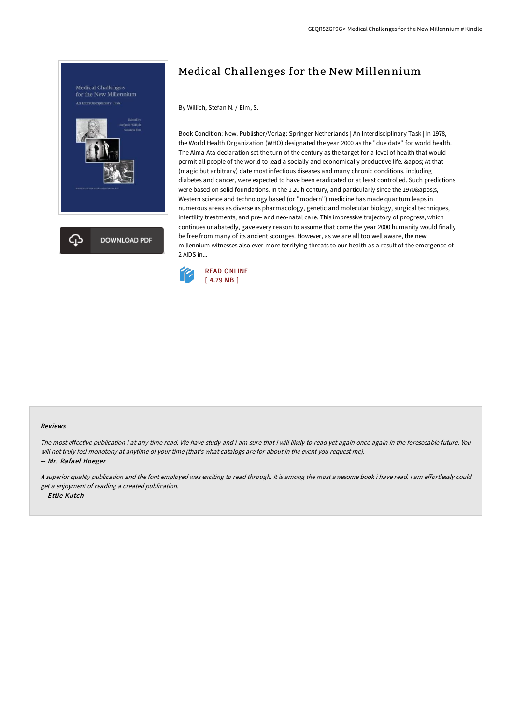

## Medical Challenges for the New Millennium

By Willich, Stefan N. / Elm, S.

Book Condition: New. Publisher/Verlag: Springer Netherlands | An Interdisciplinary Task | In 1978, the World Health Organization (WHO) designated the year 2000 as the "due date" for world health. The Alma Ata declaration set the turn of the century as the target for a level of health that would permit all people of the world to lead a socially and economically productive life. & apos; At that (magic but arbitrary) date most infectious diseases and many chronic conditions, including diabetes and cancer, were expected to have been eradicated or at least controlled. Such predictions were based on solid foundations. In the 1 20 h century, and particularly since the 1970's, Western science and technology based (or "modern") medicine has made quantum leaps in numerous areas as diverse as pharmacology, genetic and molecular biology, surgical techniques, infertility treatments, and pre- and neo-natal care. This impressive trajectory of progress, which continues unabatedly, gave every reason to assume that come the year 2000 humanity would finally be free from many of its ancient scourges. However, as we are all too well aware, the new millennium witnesses also ever more terrifying threats to our health as a result of the emergence of 2 AIDS in...



## Reviews

The most effective publication i at any time read. We have study and i am sure that i will likely to read yet again once again in the foreseeable future. You will not truly feel monotony at anytime of your time (that's what catalogs are for about in the event you request me).

-- Mr. Rafael Hoeger

A superior quality publication and the font employed was exciting to read through. It is among the most awesome book i have read. I am effortlessly could get <sup>a</sup> enjoyment of reading <sup>a</sup> created publication. -- Ettie Kutch